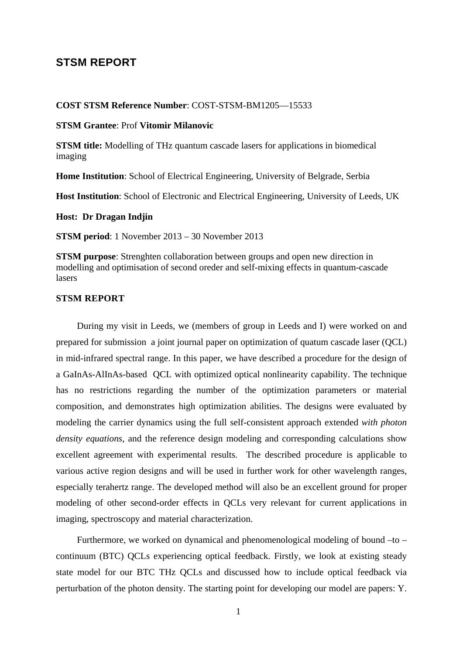# **STSM REPORT**

#### **COST STSM Reference Number**: COST-STSM-BM1205—15533

#### **STSM Grantee**: Prof **Vitomir Milanovic**

**STSM title:** Modelling of THz quantum cascade lasers for applications in biomedical imaging

**Home Institution**: School of Electrical Engineering, University of Belgrade, Serbia

**Host Institution**: School of Electronic and Electrical Engineering, University of Leeds, UK

**Host: Dr Dragan Indjin**

**STSM period**: 1 November 2013 – 30 November 2013

**STSM purpose**: Strenghten collaboration between groups and open new direction in modelling and optimisation of second oreder and self-mixing effects in quantum-cascade lasers

#### **STSM REPORT**

 During my visit in Leeds, we (members of group in Leeds and I) were worked on and prepared for submission a joint journal paper on optimization of quatum cascade laser (QCL) in mid-infrared spectral range. In this paper, we have described a procedure for the design of a GaInAs-AlInAs-based QCL with optimized optical nonlinearity capability. The technique has no restrictions regarding the number of the optimization parameters or material composition, and demonstrates high optimization abilities. The designs were evaluated by modeling the carrier dynamics using the full self-consistent approach extended *with photon density equations*, and the reference design modeling and corresponding calculations show excellent agreement with experimental results. The described procedure is applicable to various active region designs and will be used in further work for other wavelength ranges, especially terahertz range. The developed method will also be an excellent ground for proper modeling of other second-order effects in QCLs very relevant for current applications in imaging, spectroscopy and material characterization.

 Furthermore, we worked on dynamical and phenomenological modeling of bound –to – continuum (BTC) QCLs experiencing optical feedback. Firstly, we look at existing steady state model for our BTC THz QCLs and discussed how to include optical feedback via perturbation of the photon density. The starting point for developing our model are papers: Y.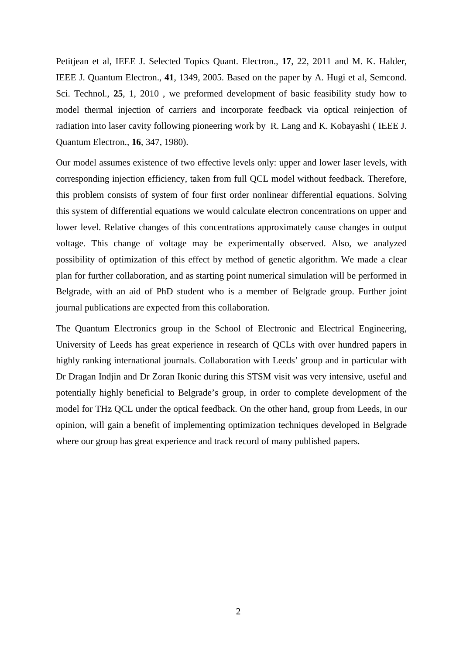Petitjean et al, IEEE J. Selected Topics Quant. Electron., **17**, 22, 2011 and M. K. Halder, IEEE J. Quantum Electron., **41**, 1349, 2005. Based on the paper by A. Hugi et al, Semcond. Sci. Technol., **25**, 1, 2010 , we preformed development of basic feasibility study how to model thermal injection of carriers and incorporate feedback via optical reinjection of radiation into laser cavity following pioneering work by R. Lang and K. Kobayashi ( IEEE J. Quantum Electron., **16**, 347, 1980).

Our model assumes existence of two effective levels only: upper and lower laser levels, with corresponding injection efficiency, taken from full QCL model without feedback. Therefore, this problem consists of system of four first order nonlinear differential equations. Solving this system of differential equations we would calculate electron concentrations on upper and lower level. Relative changes of this concentrations approximately cause changes in output voltage. This change of voltage may be experimentally observed. Also, we analyzed possibility of optimization of this effect by method of genetic algorithm. We made a clear plan for further collaboration, and as starting point numerical simulation will be performed in Belgrade, with an aid of PhD student who is a member of Belgrade group. Further joint journal publications are expected from this collaboration.

The Quantum Electronics group in the School of Electronic and Electrical Engineering, University of Leeds has great experience in research of QCLs with over hundred papers in highly ranking international journals. Collaboration with Leeds' group and in particular with Dr Dragan Indjin and Dr Zoran Ikonic during this STSM visit was very intensive, useful and potentially highly beneficial to Belgrade's group, in order to complete development of the model for THz QCL under the optical feedback. On the other hand, group from Leeds, in our opinion, will gain a benefit of implementing optimization techniques developed in Belgrade where our group has great experience and track record of many published papers.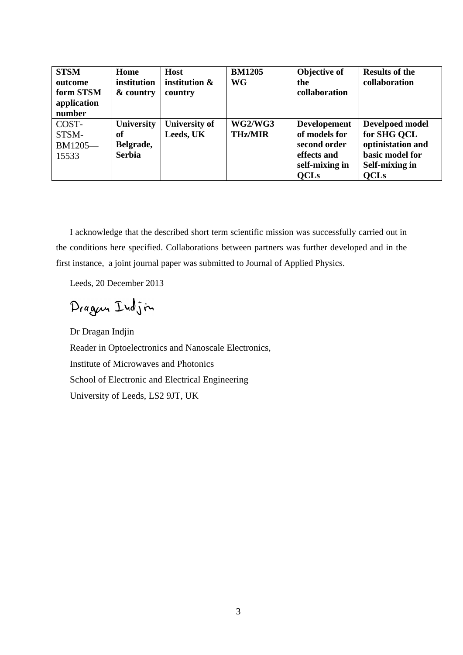| <b>STSM</b><br>outcome<br>form STSM<br>application<br>number | Home<br>institution<br>& country                      | <b>Host</b><br>institution &<br>country | <b>BM1205</b><br><b>WG</b> | Objective of<br>the<br>collaboration                                                                 | <b>Results of the</b><br>collaboration                                                                         |
|--------------------------------------------------------------|-------------------------------------------------------|-----------------------------------------|----------------------------|------------------------------------------------------------------------------------------------------|----------------------------------------------------------------------------------------------------------------|
| COST-<br>STSM-<br>BM1205-<br>15533                           | <b>University</b><br>of<br>Belgrade,<br><b>Serbia</b> | <b>University of</b><br>Leeds, UK       | WG2/WG3<br><b>THz/MIR</b>  | <b>Developement</b><br>of models for<br>second order<br>effects and<br>self-mixing in<br><b>QCLs</b> | <b>Develpoed model</b><br>for SHG QCL<br>optinistation and<br>basic model for<br>Self-mixing in<br><b>QCLs</b> |

I acknowledge that the described short term scientific mission was successfully carried out in the conditions here specified. Collaborations between partners was further developed and in the first instance, a joint journal paper was submitted to Journal of Applied Physics.

Leeds, 20 December 2013

Dragon Indjin

Dr Dragan Indjin Reader in Optoelectronics and Nanoscale Electronics, Institute of Microwaves and Photonics School of Electronic and Electrical Engineering University of Leeds, LS2 9JT, UK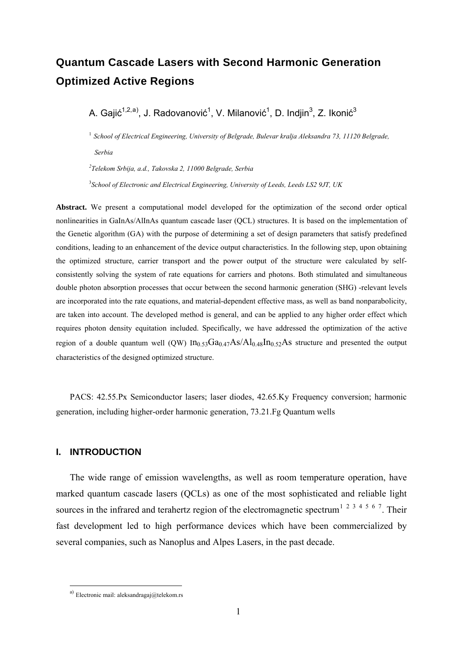# **Quantum Cascade Lasers with Second Harmonic Generation Optimized Active Regions**

A. G[a](#page-3-0)jić<sup>1,2,a)</sup>, J. Radovanović<sup>1</sup>, V. Milanović<sup>1</sup>, D. Indjin<sup>3</sup>, Z. Ikonić<sup>3</sup>

<sup>1</sup> *School of Electrical Engineering, University of Belgrade, Bulevar kralja Aleksandra 73, 11120 Belgrade, Serbia* 

*2 Telekom Srbija, a.d., Takovska 2, 11000 Belgrade, Serbia*

3 *School of Electronic and Electrical Engineering, University of Leeds, Leeds LS2 9JT, UK* 

**Abstract.** We present a computational model developed for the optimization of the second order optical nonlinearities in GaInAs/AlInAs quantum cascade laser (QCL) structures. It is based on the implementation of the Genetic algorithm (GA) with the purpose of determining a set of design parameters that satisfy predefined conditions, leading to an enhancement of the device output characteristics. In the following step, upon obtaining the optimized structure, carrier transport and the power output of the structure were calculated by selfconsistently solving the system of rate equations for carriers and photons. Both stimulated and simultaneous double photon absorption processes that occur between the second harmonic generation (SHG) -relevant levels are incorporated into the rate equations, and material-dependent effective mass, as well as band nonparabolicity, are taken into account. The developed method is general, and can be applied to any higher order effect which requires photon density equitation included. Specifically, we have addressed the optimization of the active region of a double quantum well (QW)  $In_{0.53}Ga_{0.47}As/Al_{0.48}In_{0.52}As$  structure and presented the output characteristics of the designed optimized structure.

PACS: 42.55.Px Semiconductor lasers; laser diodes, 42.65.Ky Frequency conversion; harmonic generation, including higher-order harmonic generation, 73.21.Fg Quantum wells

#### **I. INTRODUCTION**

 $\overline{a}$ 

The wide range of emission wavelengths, as well as room temperature operation, have marked quantum cascade lasers (QCLs) as one of the most sophisticated and reliable light sources in the infrared and terahertz region of the electromagnetic spectrum<sup>[1](#page-19-0) [2](#page-19-1) [3](#page-19-1) [4](#page-19-1) [5](#page-19-1) [6](#page-19-1) [7](#page-19-1)</sup>. Their fast development led to high performance devices which have been commercialized by several companies, such as Nanoplus and Alpes Lasers, in the past decade.

<span id="page-3-0"></span>a) Electronic mail: aleksandragaj@telekom.rs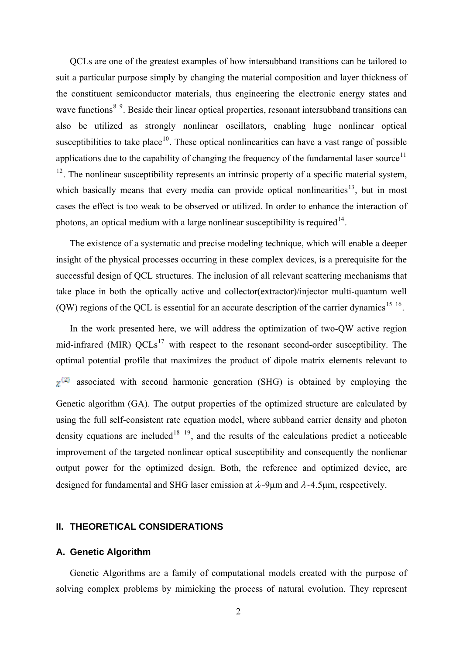QCLs are one of the greatest examples of how intersubband transitions can be tailored to suit a particular purpose simply by changing the material composition and layer thickness of the constituent semiconductor materials, thus engineering the electronic energy states and wave functions<sup>[8](#page-19-1)[9](#page-19-1)</sup>. Beside their linear optical properties, resonant intersubband transitions can also be utilized as strongly nonlinear oscillators, enabling huge nonlinear optical susceptibilities to take place<sup>[10](#page-19-1)</sup>. These optical nonlinearities can have a vast range of possible applications due to the capability of changing the frequency of the fundamental laser source<sup>[11](#page-19-1)</sup>  $12<sup>12</sup>$  $12<sup>12</sup>$ . The nonlinear susceptibility represents an intrinsic property of a specific material system, which basically means that every media can provide optical nonlinearities<sup>[13](#page-19-1)</sup>, but in most cases the effect is too weak to be observed or utilized. In order to enhance the interaction of photons, an optical medium with a large nonlinear susceptibility is required<sup>[14](#page-19-1)</sup>.

The existence of a systematic and precise modeling technique, which will enable a deeper insight of the physical processes occurring in these complex devices, is a prerequisite for the successful design of QCL structures. The inclusion of all relevant scattering mechanisms that take place in both the optically active and collector(extractor)/injector multi-quantum well (QW) regions of the QCL is essential for an accurate description of the carrier dynamics<sup>[15](#page-19-1)</sup> [16](#page-19-1).

<span id="page-4-1"></span><span id="page-4-0"></span>In the work presented here, we will address the optimization of two-QW active region mid-infrared (MIR)  $QCLs<sup>17</sup>$  $QCLs<sup>17</sup>$  $QCLs<sup>17</sup>$  with respect to the resonant second-order susceptibility. The optimal potential profile that maximizes the product of dipole matrix elements relevant to  $x^{(2)}$  associated with second harmonic generation (SHG) is obtained by employing the Genetic algorithm (GA). The output properties of the optimized structure are calculated by using the full self-consistent rate equation model, where subband carrier density and photon density equations are included<sup>[18](#page-19-1)</sup> <sup>[19](#page-19-1)</sup>, and the results of the calculations predict a noticeable improvement of the targeted nonlinear optical susceptibility and consequently the nonlienar output power for the optimized design. Both, the reference and optimized device, are designed for fundamental and SHG laser emission at  $\lambda$ -9 μm and  $\lambda$ -4.5 μm, respectively.

## **II. THEORETICAL CONSIDERATIONS**

### **A. Genetic Algorithm**

Genetic Algorithms are a family of computational models created with the purpose of solving complex problems by mimicking the process of natural evolution. They represent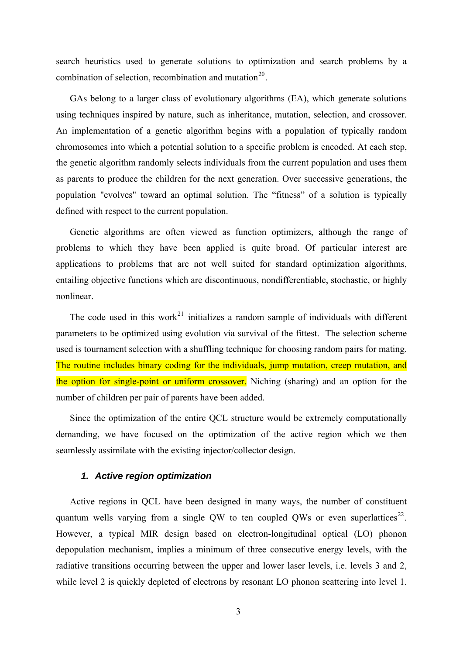search heuristics used to generate solutions to optimization and search problems by a combination of selection, recombination and mutation<sup>[20](#page-19-1)</sup>.

GAs belong to a larger class of evolutionary algorithms (EA), which generate solutions using techniques inspired by nature, such as inheritance, mutation, selection, and crossover. An implementation of a genetic algorithm begins with a population of typically random chromosomes into which a potential solution to a specific problem is encoded. At each step, the genetic algorithm randomly selects individuals from the current population and uses them as parents to produce the children for the next generation. Over successive generations, the population "evolves" toward an optimal solution. The "fitness" of a solution is typically defined with respect to the current population.

Genetic algorithms are often viewed as function optimizers, although the range of problems to which they have been applied is quite broad. Of particular interest are applications to problems that are not well suited for standard optimization algorithms, entailing objective functions which are discontinuous, nondifferentiable, stochastic, or highly nonlinear.

The code used in this work<sup>[21](#page-19-1)</sup> initializes a random sample of individuals with different parameters to be optimized using evolution via survival of the fittest. The selection scheme used is tournament selection with a shuffling technique for choosing random pairs for mating. The routine includes binary coding for the individuals, jump mutation, creep mutation, and the option for single-point or uniform crossover. Niching (sharing) and an option for the number of children per pair of parents have been added.

Since the optimization of the entire QCL structure would be extremely computationally demanding, we have focused on the optimization of the active region which we then seamlessly assimilate with the existing injector/collector design.

## *1. Active region optimization*

<span id="page-5-0"></span>Active regions in QCL have been designed in many ways, the number of constituent quantum wells varying from a single QW to ten coupled QWs or even superlattices<sup>[22](#page-19-1)</sup>. However, a typical MIR design based on electron-longitudinal optical (LO) phonon depopulation mechanism, implies a minimum of three consecutive energy levels, with the radiative transitions occurring between the upper and lower laser levels, i.e. levels 3 and 2, while level 2 is quickly depleted of electrons by resonant LO phonon scattering into level 1.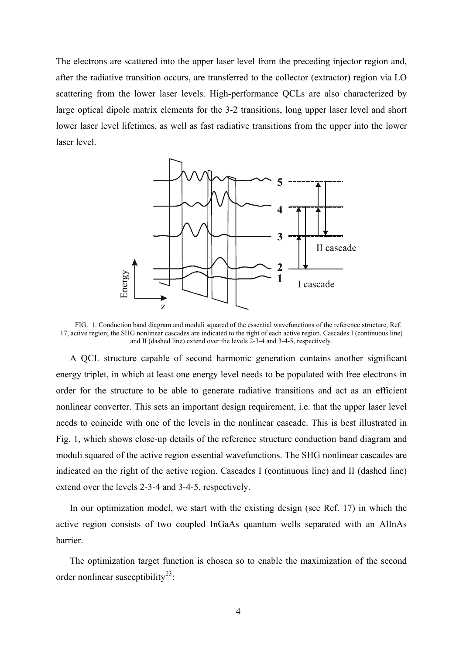The electrons are scattered into the upper laser level from the preceding injector region and, after the radiative transition occurs, are transferred to the collector (extractor) region via LO scattering from the lower laser levels. High-performance QCLs are also characterized by large optical dipole matrix elements for the 3-2 transitions, long upper laser level and short lower laser level lifetimes, as well as fast radiative transitions from the upper into the lower laser level.



FIG. 1. Conduction band diagram and moduli squared of the essential wavefunctions of the reference structure, Ref. [17](#page-4-0), active region; the SHG nonlinear cascades are indicated to the right of each active region. Cascades I (continuous line) and II (dashed line) extend over the levels 2-3-4 and 3-4-5, respectively.

A QCL structure capable of second harmonic generation contains another significant energy triplet, in which at least one energy level needs to be populated with free electrons in order for the structure to be able to generate radiative transitions and act as an efficient nonlinear converter. This sets an important design requirement, i.e. that the upper laser level needs to coincide with one of the levels in the nonlinear cascade. This is best illustrated in Fig. 1, which shows close-up details of the reference structure conduction band diagram and moduli squared of the active region essential wavefunctions. The SHG nonlinear cascades are indicated on the right of the active region. Cascades I (continuous line) and II (dashed line) extend over the levels 2-3-4 and 3-4-5, respectively.

In our optimization model, we start with the existing design (see Ref. [17\)](#page-4-0) in which the active region consists of two coupled InGaAs quantum wells separated with an AlInAs barrier.

The optimization target function is chosen so to enable the maximization of the second order nonlinear susceptibility<sup>[23](#page-19-1)</sup>: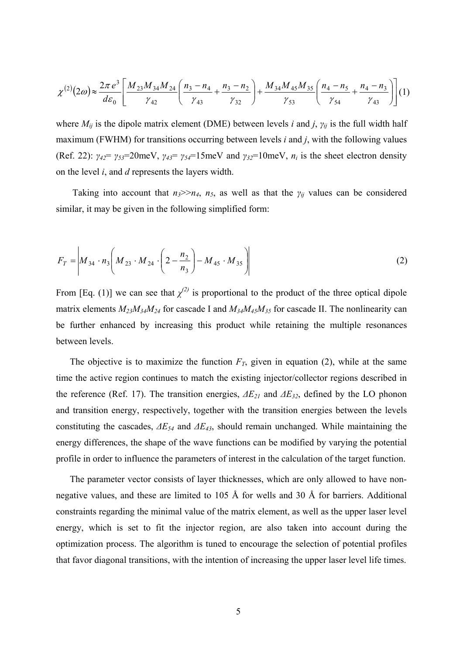$$
\chi^{(2)}(2\omega) \approx \frac{2\pi e^3}{d\varepsilon_0} \left[ \frac{M_{23}M_{34}M_{24}}{\gamma_{42}} \left( \frac{n_3 - n_4}{\gamma_{43}} + \frac{n_3 - n_2}{\gamma_{32}} \right) + \frac{M_{34}M_{45}M_{35}}{\gamma_{53}} \left( \frac{n_4 - n_5}{\gamma_{54}} + \frac{n_4 - n_3}{\gamma_{43}} \right) \right] (1)
$$

where  $M_{ij}$  is the dipole matrix element (DME) between levels *i* and *j*,  $\gamma_{ij}$  is the full width half maximum (FWHM) for transitions occurring between levels *i* and *j*, with the following values (Ref. [22](#page-5-0)):  $\gamma_{42} = \gamma_{53} = 20$ meV,  $\gamma_{43} = \gamma_{54} = 15$ meV and  $\gamma_{32} = 10$ meV,  $n_i$  is the sheet electron density on the level *i*, and *d* represents the layers width.

Taking into account that  $n_3 \geq n_4$ ,  $n_5$ , as well as that the  $\gamma_{ij}$  values can be considered similar, it may be given in the following simplified form:

$$
F_T = \left| M_{34} \cdot n_3 \left( M_{23} \cdot M_{24} \cdot \left( 2 - \frac{n_2}{n_3} \right) - M_{45} \cdot M_{35} \right) \right| \tag{2}
$$

From [Eq. (1)] we can see that  $\chi^{(2)}$  is proportional to the product of the three optical dipole matrix elements  $M_{23}M_{34}M_{24}$  for cascade I and  $M_{34}M_{45}M_{35}$  for cascade II. The nonlinearity can be further enhanced by increasing this product while retaining the multiple resonances between levels.

The objective is to maximize the function  $F_T$ , given in equation (2), while at the same time the active region continues to match the existing injector/collector regions described in the reference (Ref. [17\)](#page-4-0). The transition energies, *ΔE21* and *ΔE32*, defined by the LO phonon and transition energy, respectively, together with the transition energies between the levels constituting the cascades, *ΔE54* and *ΔE43*, should remain unchanged. While maintaining the energy differences, the shape of the wave functions can be modified by varying the potential profile in order to influence the parameters of interest in the calculation of the target function.

The parameter vector consists of layer thicknesses, which are only allowed to have nonnegative values, and these are limited to 105 Å for wells and 30 Å for barriers. Additional constraints regarding the minimal value of the matrix element, as well as the upper laser level energy, which is set to fit the injector region, are also taken into account during the optimization process. The algorithm is tuned to encourage the selection of potential profiles that favor diagonal transitions, with the intention of increasing the upper laser level life times.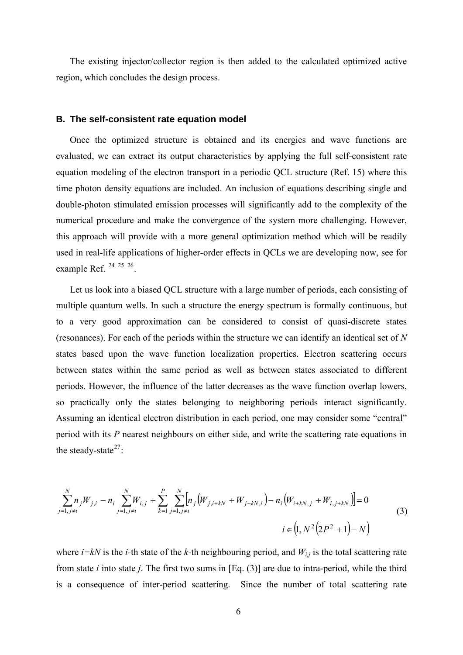The existing injector/collector region is then added to the calculated optimized active region, which concludes the design process.

#### **B. The self-consistent rate equation model**

Once the optimized structure is obtained and its energies and wave functions are evaluated, we can extract its output characteristics by applying the full self-consistent rate equation modeling of the electron transport in a periodic QCL structure (Ref. [15](#page-4-1)) where this time photon density equations are included. An inclusion of equations describing single and double-photon stimulated emission processes will significantly add to the complexity of the numerical procedure and make the convergence of the system more challenging. However, this approach will provide with a more general optimization method which will be readily used in real-life applications of higher-order effects in QCLs we are developing now, see for example Ref. [24](#page-19-1) [25](#page-19-1) [26](#page-19-1).

Let us look into a biased QCL structure with a large number of periods, each consisting of multiple quantum wells. In such a structure the energy spectrum is formally continuous, but to a very good approximation can be considered to consist of quasi-discrete states (resonances). For each of the periods within the structure we can identify an identical set of *N* states based upon the wave function localization properties. Electron scattering occurs between states within the same period as well as between states associated to different periods. However, the influence of the latter decreases as the wave function overlap lowers, so practically only the states belonging to neighboring periods interact significantly. Assuming an identical electron distribution in each period, one may consider some "central" period with its *P* nearest neighbours on either side, and write the scattering rate equations in the steady-state $27$ :

<span id="page-8-0"></span>
$$
\sum_{j=1, j\neq i}^{N} n_j W_{j,i} - n_i \sum_{j=1, j\neq i}^{N} W_{i,j} + \sum_{k=1}^{P} \sum_{j=1, j\neq i}^{N} \left[ n_j \left( W_{j,i+kN} + W_{j+kN,i} \right) - n_i \left( W_{i+kN,j} + W_{i,j+kN} \right) \right] = 0
$$
\n
$$
i \in \left( 1, N^2 \left( 2P^2 + 1 \right) - N \right)
$$
\n(3)

where  $i+ kN$  is the *i*-th state of the *k*-th neighbouring period, and  $W_{i,j}$  is the total scattering rate from state *i* into state *j*. The first two sums in [Eq. (3)] are due to intra-period, while the third is a consequence of inter-period scattering. Since the number of total scattering rate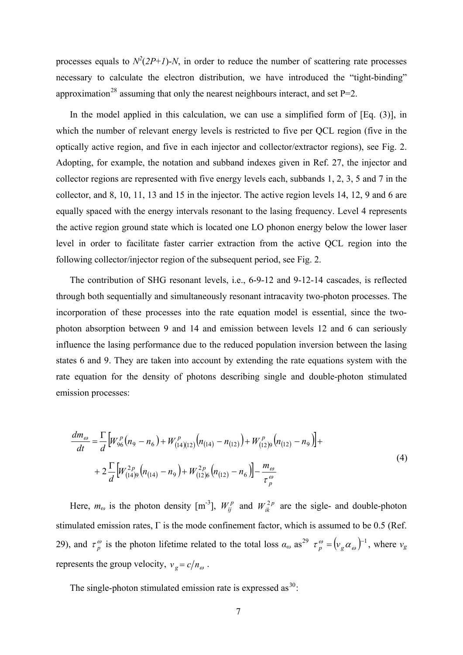processes equals to  $N^2(2P+I)$ -*N*, in order to reduce the number of scattering rate processes necessary to calculate the electron distribution, we have introduced the "tight-binding" approximation<sup>[28](#page-19-1)</sup> assuming that only the nearest neighbours interact, and set  $P=2$ .

<span id="page-9-1"></span>In the model applied in this calculation, we can use a simplified form of [Eq. (3)], in which the number of relevant energy levels is restricted to five per QCL region (five in the optically active region, and five in each injector and collector/extractor regions), see Fig. 2. Adopting, for example, the notation and subband indexes given in Ref. [27](#page-8-0), the injector and collector regions are represented with five energy levels each, subbands 1, 2, 3, 5 and 7 in the collector, and 8, 10, 11, 13 and 15 in the injector. The active region levels 14, 12, 9 and 6 are equally spaced with the energy intervals resonant to the lasing frequency. Level 4 represents the active region ground state which is located one LO phonon energy below the lower laser level in order to facilitate faster carrier extraction from the active QCL region into the following collector/injector region of the subsequent period, see Fig. 2.

The contribution of SHG resonant levels, i.e., 6-9-12 and 9-12-14 cascades, is reflected through both sequentially and simultaneously resonant intracavity two-photon processes. The incorporation of these processes into the rate equation model is essential, since the twophoton absorption between 9 and 14 and emission between levels 12 and 6 can seriously influence the lasing performance due to the reduced population inversion between the lasing states 6 and 9. They are taken into account by extending the rate equations system with the rate equation for the density of photons describing single and double-photon stimulated emission processes:

$$
\frac{dm_{\omega}}{dt} = \frac{\Gamma}{d} \Big[ W_{96}^p \big( n_9 - n_6 \big) + W_{(14)(12)}^p \big( n_{(14)} - n_{(12)} \big) + W_{(12)9}^p \big( n_{(12)} - n_9 \big) \Big] +
$$
\n
$$
+ 2 \frac{\Gamma}{d} \Big[ W_{(14)9}^{2p} \big( n_{(14)} - n_9 \big) + W_{(12)6}^{2p} \big( n_{(12)} - n_6 \big) \Big] - \frac{m_{\omega}}{\tau_p^{\omega}}
$$
\n(4)

<span id="page-9-0"></span>Here,  $m_{\omega}$  is the photon density [m<sup>-3</sup>],  $W_{ij}^p$  and  $W_{ik}^{2p}$  are the sigle- and double-photon stimulated emission rates, Γ is the mode confinement factor, which is assumed to be 0.5 (Ref. [29](#page-19-1)), and  $\tau_p^{\omega}$  is the photon lifetime related to the total loss  $\alpha_{\omega}$  as<sup>29</sup>  $\tau_p^{\omega} = (\nu_g \alpha_{\omega})^{-1}$ , where  $\nu_g$ represents the group velocity,  $v_g = c/n_\omega$ .

The single-photon stimulated emission rate is expressed as  $30$ :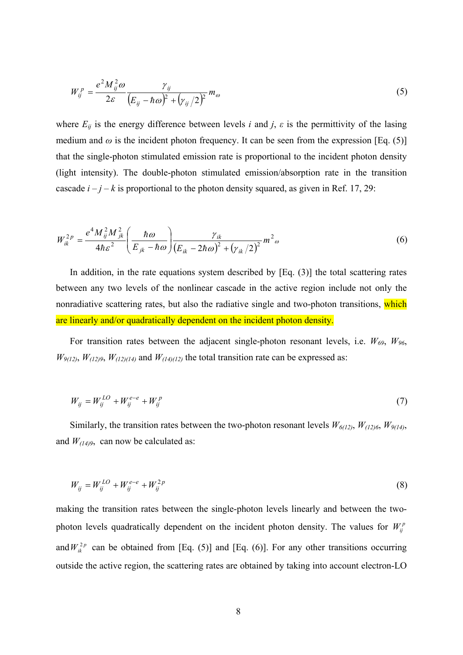$$
W_{ij}^P = \frac{e^2 M_{ij}^2 \omega}{2\varepsilon} \frac{\gamma_{ij}}{\left(E_{ij} - \hbar \omega\right)^2 + \left(\gamma_{ij}/2\right)^2} m_\omega
$$
\n(5)

where  $E_{ij}$  is the energy difference between levels *i* and *j*,  $\varepsilon$  is the permittivity of the lasing medium and  $\omega$  is the incident photon frequency. It can be seen from the expression [Eq. (5)] that the single-photon stimulated emission rate is proportional to the incident photon density (light intensity). The double-photon stimulated emission/absorption rate in the transition cascade  $i - j - k$  is proportional to the photon density squared, as given in Ref. [17](#page-4-0), [29](#page-9-0):

$$
W_{ik}^{2p} = \frac{e^4 M_{ij}^2 M_{jk}^2}{4\hbar \varepsilon^2} \left(\frac{\hbar \omega}{E_{jk} - \hbar \omega}\right) \frac{\gamma_{ik}}{\left(E_{ik} - 2\hbar \omega\right)^2 + \left(\gamma_{ik}/2\right)^2} m_{\omega}^2 \tag{6}
$$

In addition, in the rate equations system described by  $[Eq. (3)]$  the total scattering rates between any two levels of the nonlinear cascade in the active region include not only the nonradiative scattering rates, but also the radiative single and two-photon transitions, which are linearly and/or quadratically dependent on the incident photon density.

For transition rates between the adjacent single-photon resonant levels, i.e.  $W_{69}$ ,  $W_{96}$ ,  $W_{9(12)}$ ,  $W_{(12)9}$ ,  $W_{(12)(14)}$  and  $W_{(14)(12)}$  the total transition rate can be expressed as:

$$
W_{ij} = W_{ij}^{LO} + W_{ij}^{e-e} + W_{ij}^p
$$
 (7)

Similarly, the transition rates between the two-photon resonant levels  $W_{6(12)}$ ,  $W_{(12)6}$ ,  $W_{9(14)}$ , and  $W_{(14)9}$ , can now be calculated as:

$$
W_{ij} = W_{ij}^{LO} + W_{ij}^{e-e} + W_{ij}^{2p}
$$
 (8)

making the transition rates between the single-photon levels linearly and between the twophoton levels quadratically dependent on the incident photon density. The values for  $W_{ij}^p$ and  $W_{ik}^{2p}$  can be obtained from [Eq. (5)] and [Eq. (6)]. For any other transitions occurring outside the active region, the scattering rates are obtained by taking into account electron-LO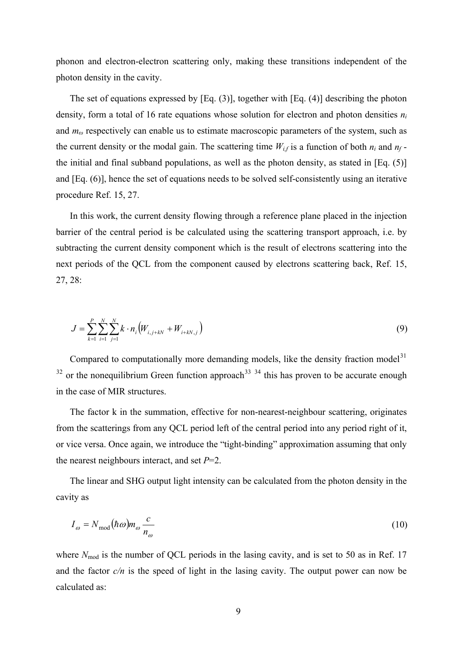phonon and electron-electron scattering only, making these transitions independent of the photon density in the cavity.

The set of equations expressed by [Eq. (3)], together with [Eq. (4)] describing the photon density, form a total of 16 rate equations whose solution for electron and photon densities *ni* and *mω* respectively can enable us to estimate macroscopic parameters of the system, such as the current density or the modal gain. The scattering time  $W_{if}$  is a function of both  $n_i$  and  $n_f$ the initial and final subband populations, as well as the photon density, as stated in [Eq. (5)] and [Eq. (6)], hence the set of equations needs to be solved self-consistently using an iterative procedure Ref. [15](#page-4-1), [27](#page-8-0).

In this work, the current density flowing through a reference plane placed in the injection barrier of the central period is be calculated using the scattering transport approach, i.e. by subtracting the current density component which is the result of electrons scattering into the next periods of the QCL from the component caused by electrons scattering back, Ref. [15](#page-4-1), [27](#page-8-0), [28](#page-9-1):

$$
J = \sum_{k=1}^{P} \sum_{i=1}^{N} \sum_{j=1}^{N} k \cdot n_i \left( W_{i,j+kN} + W_{i+kN,j} \right)
$$
(9)

Compared to computationally more demanding models, like the density fraction model<sup>[31](#page-19-1)</sup>  $32$  or the nonequilibrium Green function approach<sup>[33](#page-19-1)</sup>  $34$  this has proven to be accurate enough in the case of MIR structures.

The factor k in the summation, effective for non-nearest-neighbour scattering, originates from the scatterings from any QCL period left of the central period into any period right of it, or vice versa. Once again, we introduce the "tight-binding" approximation assuming that only the nearest neighbours interact, and set *P*=2.

The linear and SHG output light intensity can be calculated from the photon density in the cavity as

$$
I_{\omega} = N_{\text{mod}}(\hbar \omega) m_{\omega} \frac{c}{n_{\omega}}
$$
 (10)

where  $N_{\text{mod}}$  is the number of QCL periods in the lasing cavity, and is set to 50 as in Ref. [17](#page-4-0) and the factor  $c/n$  is the speed of light in the lasing cavity. The output power can now be calculated as: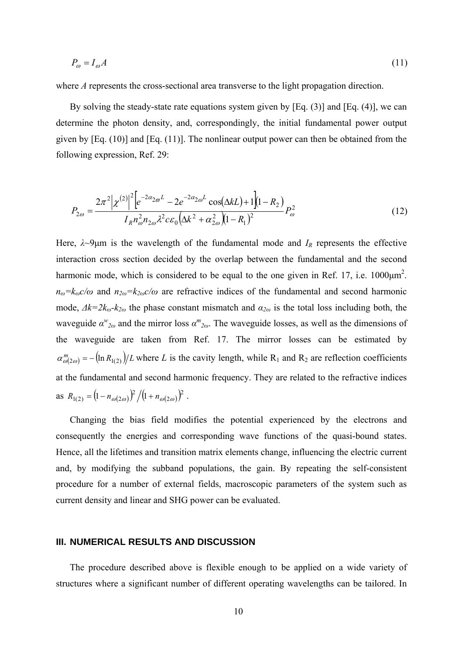$$
P_{\omega} = I_{\omega}A \tag{11}
$$

where *A* represents the cross-sectional area transverse to the light propagation direction.

By solving the steady-state rate equations system given by [Eq. (3)] and [Eq. (4)], we can determine the photon density, and, correspondingly, the initial fundamental power output given by [Eq. (10)] and [Eq. (11)]. The nonlinear output power can then be obtained from the following expression, Ref. [29](#page-9-0):

$$
P_{2\omega} = \frac{2\pi^2 |\chi^{(2)}|^2 \left[ e^{-2\alpha_{2\omega}L} - 2e^{-2\alpha_{2\omega}L} \cos(\Delta kL) + 1 \right] (1 - R_2)}{I_R n_{\omega}^2 n_{2\omega} \lambda^2 c \varepsilon_0 (\Delta k^2 + \alpha_{2\omega}^2)(1 - R_1)^2} P_{\omega}^2
$$
(12)

Here,  $\lambda \sim 9\mu$ m is the wavelength of the fundamental mode and  $I_R$  represents the effective interaction cross section decided by the overlap between the fundamental and the second harmonic mode, which is considered to be equal to the one given in Ref. [17,](#page-4-0) i.e.  $1000 \mu m^2$ .  $n_{\omega} = k_{\omega} c/\omega$  and  $n_{2\omega} = k_{2\omega} c/\omega$  are refractive indices of the fundamental and second harmonic mode,  $\Delta k = 2k_{\omega} - k_{2\omega}$  the phase constant mismatch and  $\alpha_{2\omega}$  is the total loss including both, the waveguide  $\alpha^{w}_{2\omega}$  and the mirror loss  $\alpha^{m}_{2\omega}$ . The waveguide losses, as well as the dimensions of the waveguide are taken from Ref. [17.](#page-4-0) The mirror losses can be estimated by  $\alpha_{\omega(2\omega)}^m = -(\ln R_{1(2)})/L$  where *L* is the cavity length, while R<sub>1</sub> and R<sub>2</sub> are reflection coefficients at the fundamental and second harmonic frequency. They are related to the refractive indices as  $R_{1(2)} = (1 - n_{\omega(2\omega)})^2 / (1 + n_{\omega(2\omega)})^2$  $R_{1(2)} = \left(1 - n_{\omega(2\omega)}\right)^2 / \left(1 + n_{\omega(2\omega)}\right)^2$ .

Changing the bias field modifies the potential experienced by the electrons and consequently the energies and corresponding wave functions of the quasi-bound states. Hence, all the lifetimes and transition matrix elements change, influencing the electric current and, by modifying the subband populations, the gain. By repeating the self-consistent procedure for a number of external fields, macroscopic parameters of the system such as current density and linear and SHG power can be evaluated.

### **III. NUMERICAL RESULTS AND DISCUSSION**

The procedure described above is flexible enough to be applied on a wide variety of structures where a significant number of different operating wavelengths can be tailored. In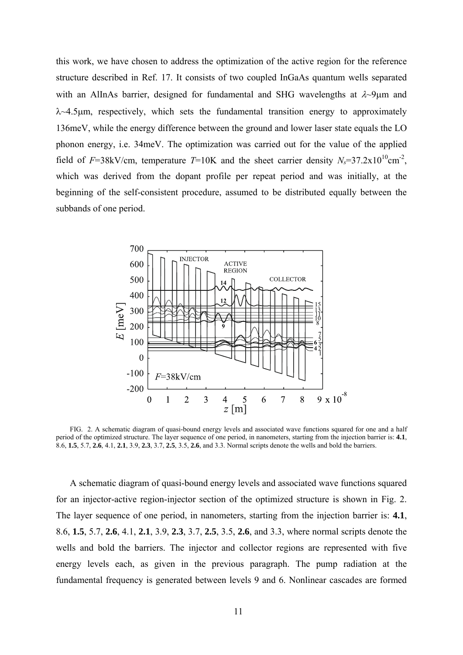this work, we have chosen to address the optimization of the active region for the reference structure described in Ref. [17](#page-4-0). It consists of two coupled InGaAs quantum wells separated with an AlInAs barrier, designed for fundamental and SHG wavelengths at  $\lambda$ -9μm and  $\lambda$  -4.5  $\mu$ m, respectively, which sets the fundamental transition energy to approximately 136meV, while the energy difference between the ground and lower laser state equals the LO phonon energy, i.e. 34meV. The optimization was carried out for the value of the applied field of *F*=38kV/cm, temperature *T*=10K and the sheet carrier density  $N_s$ =37.2x10<sup>10</sup>cm<sup>-2</sup>, which was derived from the dopant profile per repeat period and was initially, at the beginning of the self-consistent procedure, assumed to be distributed equally between the subbands of one period.



FIG. 2. A schematic diagram of quasi-bound energy levels and associated wave functions squared for one and a half period of the optimized structure. The layer sequence of one period, in nanometers, starting from the injection barrier is: **4.1**, 8.6, **1.5**, 5.7, **2.6**, 4.1, **2.1**, 3.9, **2.3**, 3.7, **2.5**, 3.5, **2.6**, and 3.3. Normal scripts denote the wells and bold the barriers.

A schematic diagram of quasi-bound energy levels and associated wave functions squared for an injector-active region-injector section of the optimized structure is shown in Fig. 2. The layer sequence of one period, in nanometers, starting from the injection barrier is: **4.1**, 8.6, **1.5**, 5.7, **2.6**, 4.1, **2.1**, 3.9, **2.3**, 3.7, **2.5**, 3.5, **2.6**, and 3.3, where normal scripts denote the wells and bold the barriers. The injector and collector regions are represented with five energy levels each, as given in the previous paragraph. The pump radiation at the fundamental frequency is generated between levels 9 and 6. Nonlinear cascades are formed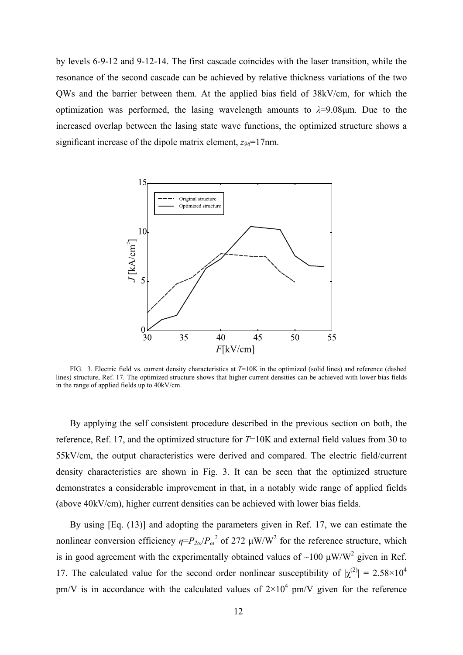by levels 6-9-12 and 9-12-14. The first cascade coincides with the laser transition, while the resonance of the second cascade can be achieved by relative thickness variations of the two QWs and the barrier between them. At the applied bias field of 38kV/cm, for which the optimization was performed, the lasing wavelength amounts to  $\lambda = 9.08 \mu m$ . Due to the increased overlap between the lasing state wave functions, the optimized structure shows a significant increase of the dipole matrix element,  $z_{96}$ =17nm.



FIG. 3. Electric field vs. current density characteristics at *T*=10K in the optimized (solid lines) and reference (dashed lines) structure, Ref. [17](#page-4-0). The optimized structure shows that higher current densities can be achieved with lower bias fields in the range of applied fields up to 40kV/cm.

By applying the self consistent procedure described in the previous section on both, the reference, Ref. [17,](#page-4-0) and the optimized structure for *T*=10K and external field values from 30 to 55kV/cm, the output characteristics were derived and compared. The electric field/current density characteristics are shown in Fig. 3. It can be seen that the optimized structure demonstrates a considerable improvement in that, in a notably wide range of applied fields (above 40kV/cm), higher current densities can be achieved with lower bias fields.

By using [Eq. (13)] and adopting the parameters given in Ref. [17](#page-4-0), we can estimate the nonlinear conversion efficiency  $\eta = P_{2\omega}/P_{\omega}^2$  of 272  $\mu$ W/W<sup>2</sup> for the reference structure, which is in good agreement with the experimentally obtained values of ~100  $\mu$ W/W<sup>2</sup> given in Ref. [17](#page-4-0). The calculated value for the second order nonlinear susceptibility of  $|\chi^{(2)}| = 2.58 \times 10^4$ pm/V is in accordance with the calculated values of  $2\times10^4$  pm/V given for the reference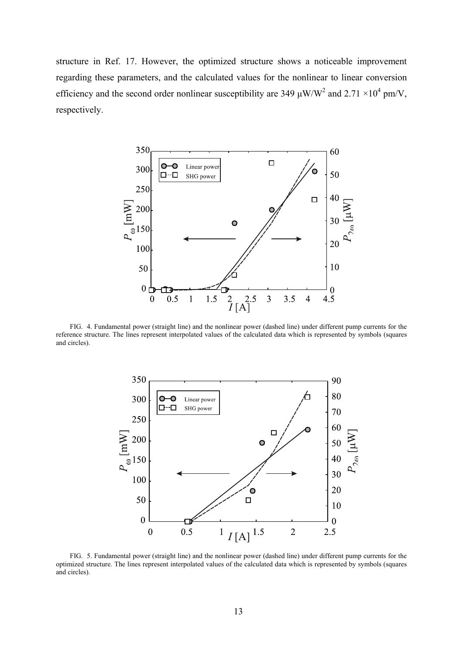structure in Ref. [17](#page-4-0). However, the optimized structure shows a noticeable improvement regarding these parameters, and the calculated values for the nonlinear to linear conversion efficiency and the second order nonlinear susceptibility are 349  $\mu$ W/W<sup>2</sup> and 2.71 ×10<sup>4</sup> pm/V, respectively.



FIG. 4. Fundamental power (straight line) and the nonlinear power (dashed line) under different pump currents for the reference structure. The lines represent interpolated values of the calculated data which is represented by symbols (squares and circles).



FIG. 5. Fundamental power (straight line) and the nonlinear power (dashed line) under different pump currents for the optimized structure. The lines represent interpolated values of the calculated data which is represented by symbols (squares and circles).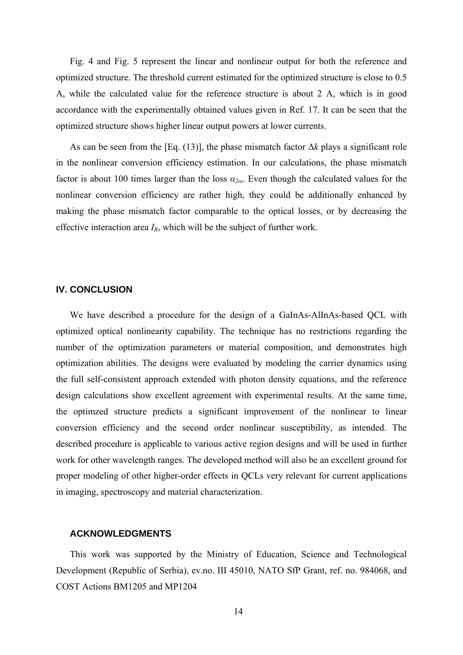Fig. 4 and Fig. 5 represent the linear and nonlinear output for both the reference and optimized structure. The threshold current estimated for the optimized structure is close to 0.5 A, while the calculated value for the reference structure is about 2 A, which is in good accordance with the experimentally obtained values given in Ref. [17](#page-4-0). It can be seen that the optimized structure shows higher linear output powers at lower currents.

As can be seen from the [Eq. (13)], the phase mismatch factor Δ*k* plays a significant role in the nonlinear conversion efficiency estimation. In our calculations, the phase mismatch factor is about 100 times larger than the loss  $\alpha_{2\omega}$ . Even though the calculated values for the nonlinear conversion efficiency are rather high, they could be additionally enhanced by making the phase mismatch factor comparable to the optical losses, or by decreasing the effective interaction area *IR*, which will be the subject of further work.

#### **IV. CONCLUSION**

We have described a procedure for the design of a GaInAs-AlInAs-based QCL with optimized optical nonlinearity capability. The technique has no restrictions regarding the number of the optimization parameters or material composition, and demonstrates high optimization abilities. The designs were evaluated by modeling the carrier dynamics using the full self-consistent approach extended with photon density equations, and the reference design calculations show excellent agreement with experimental results. At the same time, the optimzed structure predicts a significant improvement of the nonlinear to linear conversion efficiency and the second order nonlinear susceptibility, as intended. The described procedure is applicable to various active region designs and will be used in further work for other wavelength ranges. The developed method will also be an excellent ground for proper modeling of other higher-order effects in QCLs very relevant for current applications in imaging, spectroscopy and material characterization.

## **ACKNOWLEDGMENTS**

This work was supported by the Ministry of Education, Science and Technological Development (Republic of Serbia), ev.no. III 45010, NATO SfP Grant, ref. no. 984068, and COST Actions BM1205 and MP1204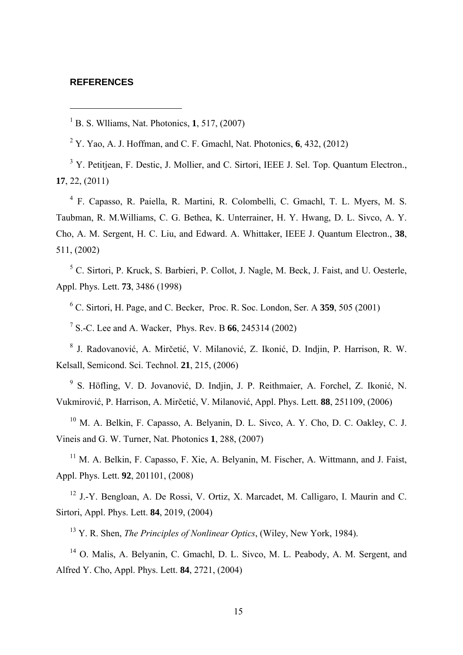#### **REFERENCES**

 $\overline{a}$ 

1 B. S. Wlliams, Nat. Photonics, **1**, 517, (2007)

2 Y. Yao, A. J. Hoffman, and C. F. Gmachl, Nat. Photonics, **6**, 432, (2012)

<sup>3</sup> Y. Petitjean, F. Destic, J. Mollier, and C. Sirtori, IEEE J. Sel. Top. Quantum Electron., **17**, 22, (2011)

4 F. Capasso, R. Paiella, R. Martini, R. Colombelli, C. Gmachl, T. L. Myers, M. S. Taubman, R. M.Williams, C. G. Bethea, K. Unterrainer, H. Y. Hwang, D. L. Sivco, A. Y. Cho, A. M. Sergent, H. C. Liu, and Edward. A. Whittaker, IEEE J. Quantum Electron., **38**, 511, (2002)

<sup>5</sup> C. Sirtori, P. Kruck, S. Barbieri, P. Collot, J. Nagle, M. Beck, J. Faist, and U. Oesterle, Appl. Phys. Lett. **73**, 3486 (1998)

6 C. Sirtori, H. Page, and C. Becker, Proc. R. Soc. London, Ser. A **359**, 505 (2001)

7 S.-C. Lee and A. Wacker, Phys. Rev. B **66**, 245314 (2002)

8 J. Radovanović, A. Mirčetić, V. Milanović, Z. Ikonić, D. Indjin, P. Harrison, R. W. Kelsall, Semicond. Sci. Technol. **21**, 215, (2006)

9 S. Höfling, V. D. Jovanović, D. Indjin, J. P. Reithmaier, A. Forchel, Z. Ikonić, N. Vukmirović, P. Harrison, A. Mirčetić, V. Milanović, Appl. Phys. Lett. **88**, 251109, (2006)

<sup>10</sup> M. A. Belkin, F. Capasso, A. Belyanin, D. L. Sivco, A. Y. Cho, D. C. Oakley, C. J. Vineis and G. W. Turner, Nat. Photonics **1**, 288, (2007)

 $11$  M. A. Belkin, F. Capasso, F. Xie, A. Belyanin, M. Fischer, A. Wittmann, and J. Faist, Appl. Phys. Lett. **92**, 201101, (2008)

12 J.-Y. Bengloan, A. De Rossi, V. Ortiz, X. Marcadet, M. Calligaro, I. Maurin and C. Sirtori, Appl. Phys. Lett. **84**, 2019, (2004)

13 Y. R. Shen, *The Principles of Nonlinear Optics*, (Wiley, New York, 1984).

<sup>14</sup> O. Malis, A. Belyanin, C. Gmachl, D. L. Sivco, M. L. Peabody, A. M. Sergent, and Alfred Y. Cho, Appl. Phys. Lett. **84**, 2721, (2004)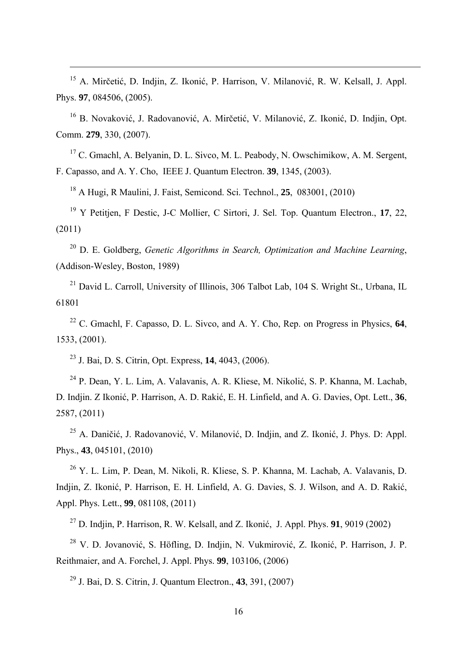15 A. Mirčetić, D. Indjin, Z. Ikonić, P. Harrison, V. Milanović, R. W. Kelsall, J. Appl. Phys. **97**, 084506, (2005).

16 B. Novaković, J. Radovanović, A. Mirčetić, V. Milanović, Z. Ikonić, D. Indjin, Opt. Comm. **279**, 330, (2007).

<sup>17</sup> C. Gmachl, A. Belyanin, D. L. Sivco, M. L. Peabody, N. Owschimikow, A. M. Sergent, F. Capasso, and A. Y. Cho, IEEE J. Quantum Electron. **39**, 1345, (2003).

18 A Hugi, R Maulini, J. Faist, Semicond. Sci. Technol., **25**, 083001, (2010)

19 Y Petitjen, F Destic, J-C Mollier, C Sirtori, J. Sel. Top. Quantum Electron., **17**, 22, (2011)

20 D. E. Goldberg, *Genetic Algorithms in Search, Optimization and Machine Learning*, (Addison-Wesley, Boston, 1989)

<sup>21</sup> David L. Carroll, University of Illinois, 306 Talbot Lab, 104 S. Wright St., Urbana, IL 61801

22 C. Gmachl, F. Capasso, D. L. Sivco, and A. Y. Cho, Rep. on Progress in Physics, **64**, 1533, (2001).

23 J. Bai, D. S. Citrin, Opt. Express, **14**, 4043, (2006).

 $\overline{a}$ 

24 P. Dean, Y. L. Lim, A. Valavanis, A. R. Kliese, M. Nikolić, S. P. Khanna, M. Lachab, D. Indjin. Z Ikonić, P. Harrison, A. D. Rakić, E. H. Linfield, and A. G. Davies, Opt. Lett., **36**, 2587, (2011)

<sup>25</sup> A. Daničić, J. Radovanović, V. Milanović, D. Indjin, and Z. Ikonić, J. Phys. D: Appl. Phys., **43**, 045101, (2010)

 $^{26}$  Y. L. Lim, P. Dean, M. Nikoli, R. Kliese, S. P. Khanna, M. Lachab, A. Valavanis, D. Indjin, Z. Ikonić, P. Harrison, E. H. Linfield, A. G. Davies, S. J. Wilson, and A. D. Rakić, Appl. Phys. Lett., **99**, 081108, (2011)

<sup>27</sup> D. Indjin, P. Harrison, R. W. Kelsall, and Z. Ikonić, J. Appl. Phys. **91**, 9019 (2002)

28 V. D. Jovanović, S. Höfling, D. Indjin, N. Vukmirović, Z. Ikonić, P. Harrison, J. P. Reithmaier, and A. Forchel, J. Appl. Phys. **99**, 103106, (2006)

29 J. Bai, D. S. Citrin, J. Quantum Electron., **43**, 391, (2007)